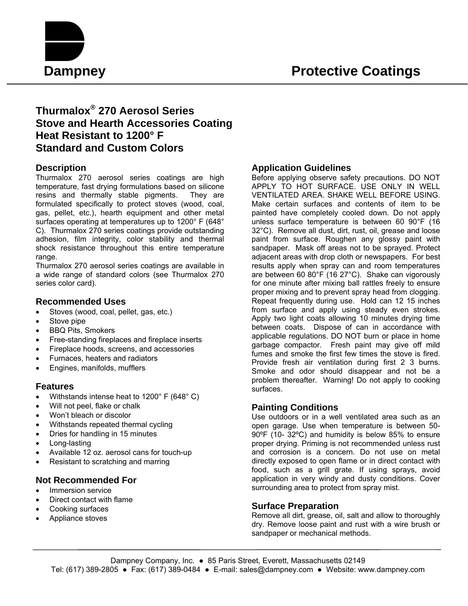

# **Thurmalox® 270 Aerosol Series Stove and Hearth Accessories Coating Heat Resistant to 1200° F Standard and Custom Colors**

# **Description**

Thurmalox 270 aerosol series coatings are high temperature, fast drying formulations based on silicone resins and thermally stable pigments. They are formulated specifically to protect stoves (wood, coal, gas, pellet, etc.), hearth equipment and other metal surfaces operating at temperatures up to 1200° F (648° C). Thurmalox 270 series coatings provide outstanding adhesion, film integrity, color stability and thermal shock resistance throughout this entire temperature range.

Thurmalox 270 aerosol series coatings are available in a wide range of standard colors (see Thurmalox 270 series color card).

### **Recommended Uses**

- Stoves (wood, coal, pellet, gas, etc.)
- Stove pipe
- BBQ Pits, Smokers
- Free-standing fireplaces and fireplace inserts
- Fireplace hoods, screens, and accessories
- Furnaces, heaters and radiators
- Engines, manifolds, mufflers

#### **Features**

- Withstands intense heat to 1200° F (648° C)
- Will not peel, flake or chalk
- Won't bleach or discolor
- Withstands repeated thermal cycling
- Dries for handling in 15 minutes
- Long-lasting
- Available 12 oz. aerosol cans for touch-up
- Resistant to scratching and marring

## **Not Recommended For**

- Immersion service
- Direct contact with flame
- Cooking surfaces
- Appliance stoves

# **Application Guidelines**

Before applying observe safety precautions. DO NOT APPLY TO HOT SURFACE. USE ONLY IN WELL VENTILATED AREA. SHAKE WELL BEFORE USING. Make certain surfaces and contents of item to be painted have completely cooled down. Do not apply unless surface temperature is between 60 90°F (16 32°C). Remove all dust, dirt, rust, oil, grease and loose paint from surface. Roughen any glossy paint with sandpaper. Mask off areas not to be sprayed. Protect adjacent areas with drop cloth or newspapers. For best results apply when spray can and room temperatures are between 60 80°F (16 27°C). Shake can vigorously for one minute after mixing ball rattles freely to ensure proper mixing and to prevent spray head from clogging. Repeat frequently during use. Hold can 12 15 inches from surface and apply using steady even strokes. Apply two light coats allowing 10 minutes drying time between coats. Dispose of can in accordance with applicable regulations. DO NOT burn or place in home garbage compactor. Fresh paint may give off mild fumes and smoke the first few times the stove is fired. Provide fresh air ventilation during first 2 3 burns. Smoke and odor should disappear and not be a problem thereafter. Warning! Do not apply to cooking surfaces.

#### **Painting Conditions**

Use outdoors or in a well ventilated area such as an open garage. Use when temperature is between 50- 90ºF (10- 32ºC) and humidity is below 85% to ensure proper drying. Priming is not recommended unless rust and corrosion is a concern. Do not use on metal directly exposed to open flame or in direct contact with food, such as a grill grate. If using sprays, avoid application in very windy and dusty conditions. Cover surrounding area to protect from spray mist.

#### **Surface Preparation**

Remove all dirt, grease, oil, salt and allow to thoroughly dry. Remove loose paint and rust with a wire brush or sandpaper or mechanical methods.